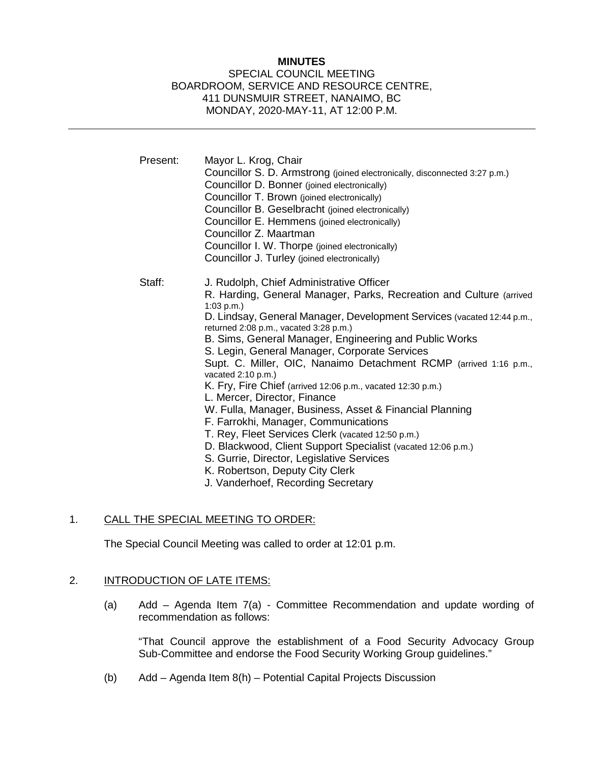### **MINUTES**

#### SPECIAL COUNCIL MEETING BOARDROOM, SERVICE AND RESOURCE CENTRE, 411 DUNSMUIR STREET, NANAIMO, BC MONDAY, 2020-MAY-11, AT 12:00 P.M.

| Present: | Mayor L. Krog, Chair<br>Councillor S. D. Armstrong (joined electronically, disconnected 3:27 p.m.)<br>Councillor D. Bonner (joined electronically)<br>Councillor T. Brown (joined electronically)<br>Councillor B. Geselbracht (joined electronically)<br>Councillor E. Hemmens (joined electronically)<br>Councillor Z. Maartman<br>Councillor I. W. Thorpe (joined electronically)<br>Councillor J. Turley (joined electronically)                                                                                                                                                                                                                                                                                                                                                                                                                                                                   |
|----------|--------------------------------------------------------------------------------------------------------------------------------------------------------------------------------------------------------------------------------------------------------------------------------------------------------------------------------------------------------------------------------------------------------------------------------------------------------------------------------------------------------------------------------------------------------------------------------------------------------------------------------------------------------------------------------------------------------------------------------------------------------------------------------------------------------------------------------------------------------------------------------------------------------|
| Staff:   | J. Rudolph, Chief Administrative Officer<br>R. Harding, General Manager, Parks, Recreation and Culture (arrived<br>$1:03$ p.m.)<br>D. Lindsay, General Manager, Development Services (vacated 12:44 p.m.,<br>returned 2:08 p.m., vacated 3:28 p.m.)<br>B. Sims, General Manager, Engineering and Public Works<br>S. Legin, General Manager, Corporate Services<br>Supt. C. Miller, OIC, Nanaimo Detachment RCMP (arrived 1:16 p.m.,<br>vacated 2:10 p.m.)<br>K. Fry, Fire Chief (arrived 12:06 p.m., vacated 12:30 p.m.)<br>L. Mercer, Director, Finance<br>W. Fulla, Manager, Business, Asset & Financial Planning<br>F. Farrokhi, Manager, Communications<br>T. Rey, Fleet Services Clerk (vacated 12:50 p.m.)<br>D. Blackwood, Client Support Specialist (vacated 12:06 p.m.)<br>S. Gurrie, Director, Legislative Services<br>K. Robertson, Deputy City Clerk<br>J. Vanderhoef, Recording Secretary |

## 1. CALL THE SPECIAL MEETING TO ORDER:

The Special Council Meeting was called to order at 12:01 p.m.

# 2. INTRODUCTION OF LATE ITEMS:

(a) Add – Agenda Item 7(a) - Committee Recommendation and update wording of recommendation as follows:

"That Council approve the establishment of a Food Security Advocacy Group Sub-Committee and endorse the Food Security Working Group guidelines."

(b) Add – Agenda Item 8(h) – Potential Capital Projects Discussion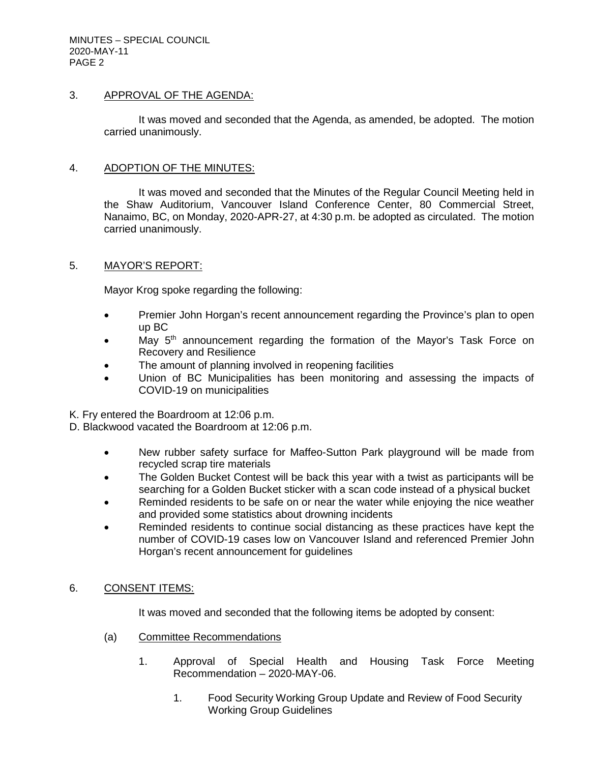MINUTES – SPECIAL COUNCIL 2020-MAY-11 PAGE 2

### 3. APPROVAL OF THE AGENDA:

It was moved and seconded that the Agenda, as amended, be adopted. The motion carried unanimously.

### 4. ADOPTION OF THE MINUTES:

It was moved and seconded that the Minutes of the Regular Council Meeting held in the Shaw Auditorium, Vancouver Island Conference Center, 80 Commercial Street, Nanaimo, BC, on Monday, 2020-APR-27, at 4:30 p.m. be adopted as circulated. The motion carried unanimously.

### 5. MAYOR'S REPORT:

Mayor Krog spoke regarding the following:

- Premier John Horgan's recent announcement regarding the Province's plan to open up BC
- May  $5<sup>th</sup>$  announcement regarding the formation of the Mayor's Task Force on Recovery and Resilience
- The amount of planning involved in reopening facilities
- Union of BC Municipalities has been monitoring and assessing the impacts of COVID-19 on municipalities

K. Fry entered the Boardroom at 12:06 p.m.

D. Blackwood vacated the Boardroom at 12:06 p.m.

- New rubber safety surface for Maffeo-Sutton Park playground will be made from recycled scrap tire materials
- The Golden Bucket Contest will be back this year with a twist as participants will be searching for a Golden Bucket sticker with a scan code instead of a physical bucket
- Reminded residents to be safe on or near the water while enjoying the nice weather and provided some statistics about drowning incidents
- Reminded residents to continue social distancing as these practices have kept the number of COVID-19 cases low on Vancouver Island and referenced Premier John Horgan's recent announcement for guidelines

### 6. CONSENT ITEMS:

It was moved and seconded that the following items be adopted by consent:

- (a) Committee Recommendations
	- 1. Approval of Special Health and Housing Task Force Meeting Recommendation – 2020-MAY-06.
		- 1. Food Security Working Group Update and Review of Food Security Working Group Guidelines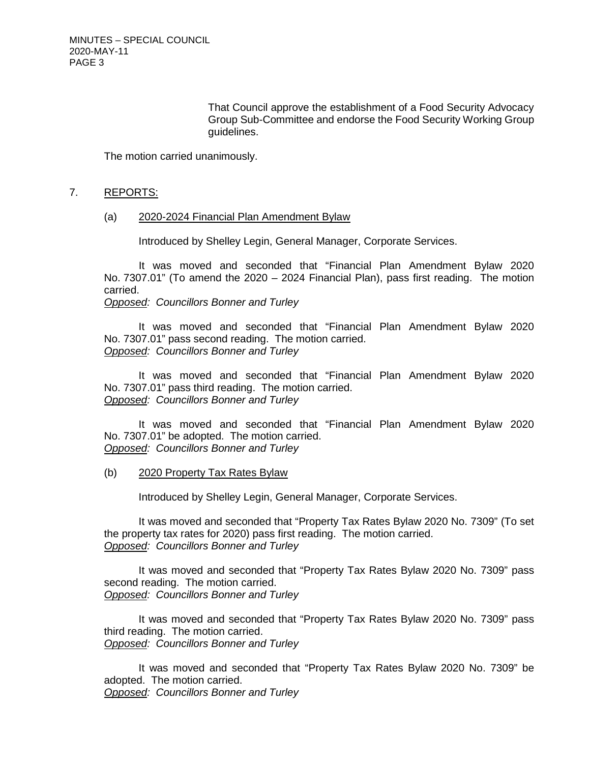That Council approve the establishment of a Food Security Advocacy Group Sub-Committee and endorse the Food Security Working Group guidelines.

The motion carried unanimously.

### 7. REPORTS:

#### (a) 2020-2024 Financial Plan Amendment Bylaw

Introduced by Shelley Legin, General Manager, Corporate Services.

It was moved and seconded that "Financial Plan Amendment Bylaw 2020 No. 7307.01" (To amend the 2020 – 2024 Financial Plan), pass first reading. The motion carried.

*Opposed: Councillors Bonner and Turley*

It was moved and seconded that "Financial Plan Amendment Bylaw 2020 No. 7307.01" pass second reading. The motion carried. *Opposed: Councillors Bonner and Turley*

It was moved and seconded that "Financial Plan Amendment Bylaw 2020 No. 7307.01" pass third reading. The motion carried. *Opposed: Councillors Bonner and Turley*

It was moved and seconded that "Financial Plan Amendment Bylaw 2020 No. 7307.01" be adopted. The motion carried. *Opposed: Councillors Bonner and Turley*

(b) 2020 Property Tax Rates Bylaw

Introduced by Shelley Legin, General Manager, Corporate Services.

It was moved and seconded that "Property Tax Rates Bylaw 2020 No. 7309" (To set the property tax rates for 2020) pass first reading. The motion carried. *Opposed: Councillors Bonner and Turley*

It was moved and seconded that "Property Tax Rates Bylaw 2020 No. 7309" pass second reading. The motion carried. *Opposed: Councillors Bonner and Turley*

It was moved and seconded that "Property Tax Rates Bylaw 2020 No. 7309" pass third reading. The motion carried. *Opposed: Councillors Bonner and Turley*

It was moved and seconded that "Property Tax Rates Bylaw 2020 No. 7309" be adopted. The motion carried. *Opposed: Councillors Bonner and Turley*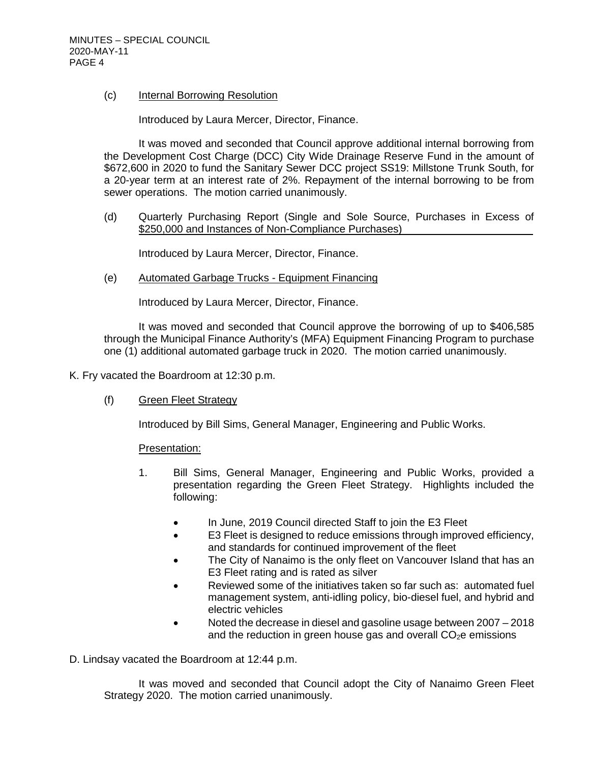(c) Internal Borrowing Resolution

Introduced by Laura Mercer, Director, Finance.

It was moved and seconded that Council approve additional internal borrowing from the Development Cost Charge (DCC) City Wide Drainage Reserve Fund in the amount of \$672,600 in 2020 to fund the Sanitary Sewer DCC project SS19: Millstone Trunk South, for a 20-year term at an interest rate of 2%. Repayment of the internal borrowing to be from sewer operations. The motion carried unanimously.

(d) Quarterly Purchasing Report (Single and Sole Source, Purchases in Excess of \$250,000 and Instances of Non-Compliance Purchases)

Introduced by Laura Mercer, Director, Finance.

(e) Automated Garbage Trucks - Equipment Financing

Introduced by Laura Mercer, Director, Finance.

It was moved and seconded that Council approve the borrowing of up to \$406,585 through the Municipal Finance Authority's (MFA) Equipment Financing Program to purchase one (1) additional automated garbage truck in 2020. The motion carried unanimously.

K. Fry vacated the Boardroom at 12:30 p.m.

(f) Green Fleet Strategy

Introduced by Bill Sims, General Manager, Engineering and Public Works.

Presentation:

- 1. Bill Sims, General Manager, Engineering and Public Works, provided a presentation regarding the Green Fleet Strategy. Highlights included the following:
	- In June, 2019 Council directed Staff to join the E3 Fleet
	- E3 Fleet is designed to reduce emissions through improved efficiency, and standards for continued improvement of the fleet
	- The City of Nanaimo is the only fleet on Vancouver Island that has an E3 Fleet rating and is rated as silver
	- Reviewed some of the initiatives taken so far such as: automated fuel management system, anti-idling policy, bio-diesel fuel, and hybrid and electric vehicles
	- Noted the decrease in diesel and gasoline usage between 2007 2018 and the reduction in green house gas and overall  $CO<sub>2</sub>e$  emissions
- D. Lindsay vacated the Boardroom at 12:44 p.m.

It was moved and seconded that Council adopt the City of Nanaimo Green Fleet Strategy 2020. The motion carried unanimously.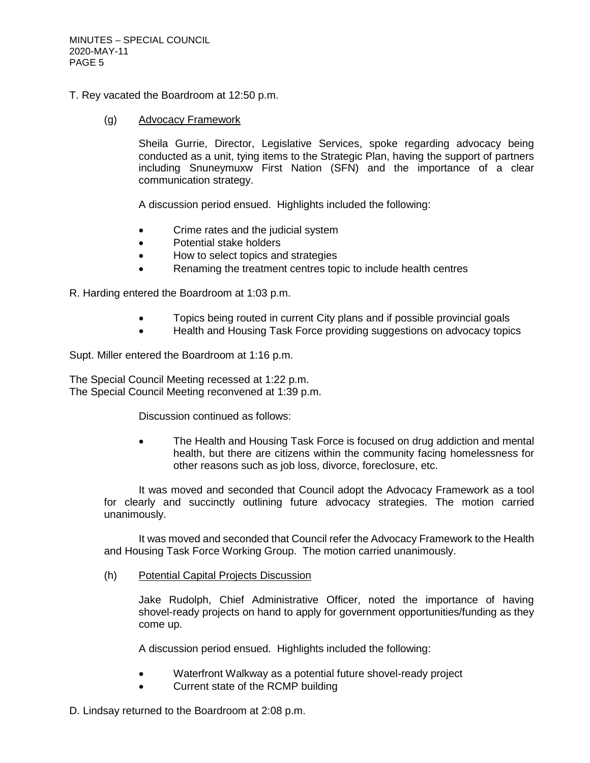MINUTES – SPECIAL COUNCIL 2020-MAY-11 PAGE 5

### T. Rey vacated the Boardroom at 12:50 p.m.

(g) Advocacy Framework

Sheila Gurrie, Director, Legislative Services, spoke regarding advocacy being conducted as a unit, tying items to the Strategic Plan, having the support of partners including Snuneymuxw First Nation (SFN) and the importance of a clear communication strategy.

A discussion period ensued. Highlights included the following:

- Crime rates and the judicial system
- Potential stake holders
- How to select topics and strategies
- Renaming the treatment centres topic to include health centres

R. Harding entered the Boardroom at 1:03 p.m.

- Topics being routed in current City plans and if possible provincial goals
- Health and Housing Task Force providing suggestions on advocacy topics

Supt. Miller entered the Boardroom at 1:16 p.m.

The Special Council Meeting recessed at 1:22 p.m. The Special Council Meeting reconvened at 1:39 p.m.

Discussion continued as follows:

• The Health and Housing Task Force is focused on drug addiction and mental health, but there are citizens within the community facing homelessness for other reasons such as job loss, divorce, foreclosure, etc.

It was moved and seconded that Council adopt the Advocacy Framework as a tool for clearly and succinctly outlining future advocacy strategies. The motion carried unanimously.

It was moved and seconded that Council refer the Advocacy Framework to the Health and Housing Task Force Working Group. The motion carried unanimously.

(h) Potential Capital Projects Discussion

Jake Rudolph, Chief Administrative Officer, noted the importance of having shovel-ready projects on hand to apply for government opportunities/funding as they come up.

A discussion period ensued. Highlights included the following:

- Waterfront Walkway as a potential future shovel-ready project
- Current state of the RCMP building

D. Lindsay returned to the Boardroom at 2:08 p.m.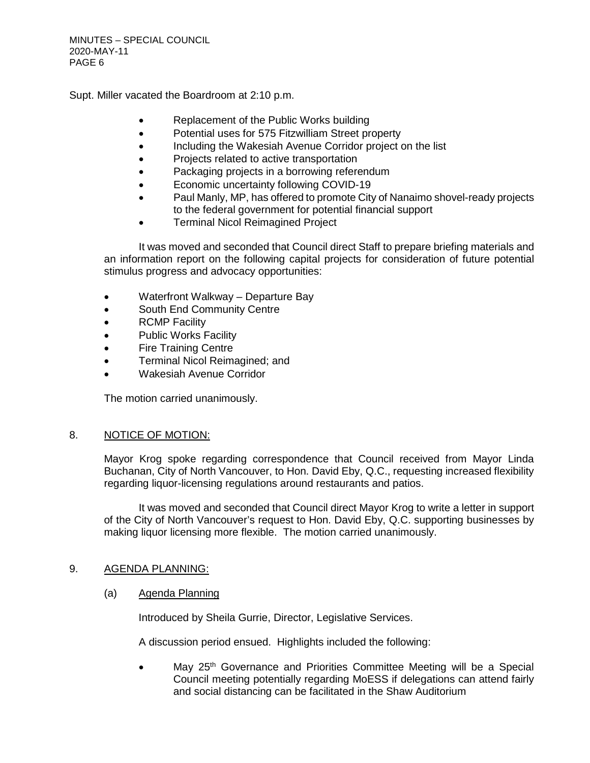MINUTES – SPECIAL COUNCIL 2020-MAY-11 PAGE 6

Supt. Miller vacated the Boardroom at 2:10 p.m.

- Replacement of the Public Works building
- Potential uses for 575 Fitzwilliam Street property
- Including the Wakesiah Avenue Corridor project on the list
- Projects related to active transportation
- Packaging projects in a borrowing referendum
- Economic uncertainty following COVID-19
- Paul Manly, MP, has offered to promote City of Nanaimo shovel-ready projects to the federal government for potential financial support
- Terminal Nicol Reimagined Project

It was moved and seconded that Council direct Staff to prepare briefing materials and an information report on the following capital projects for consideration of future potential stimulus progress and advocacy opportunities:

- Waterfront Walkway Departure Bay
- South End Community Centre
- RCMP Facility
- Public Works Facility
- Fire Training Centre
- Terminal Nicol Reimagined; and
- Wakesiah Avenue Corridor

The motion carried unanimously.

### 8. NOTICE OF MOTION:

Mayor Krog spoke regarding correspondence that Council received from Mayor Linda Buchanan, City of North Vancouver, to Hon. David Eby, Q.C., requesting increased flexibility regarding liquor-licensing regulations around restaurants and patios.

It was moved and seconded that Council direct Mayor Krog to write a letter in support of the City of North Vancouver's request to Hon. David Eby, Q.C. supporting businesses by making liquor licensing more flexible. The motion carried unanimously.

### 9. AGENDA PLANNING:

(a) Agenda Planning

Introduced by Sheila Gurrie, Director, Legislative Services.

A discussion period ensued. Highlights included the following:

May 25<sup>th</sup> Governance and Priorities Committee Meeting will be a Special Council meeting potentially regarding MoESS if delegations can attend fairly and social distancing can be facilitated in the Shaw Auditorium